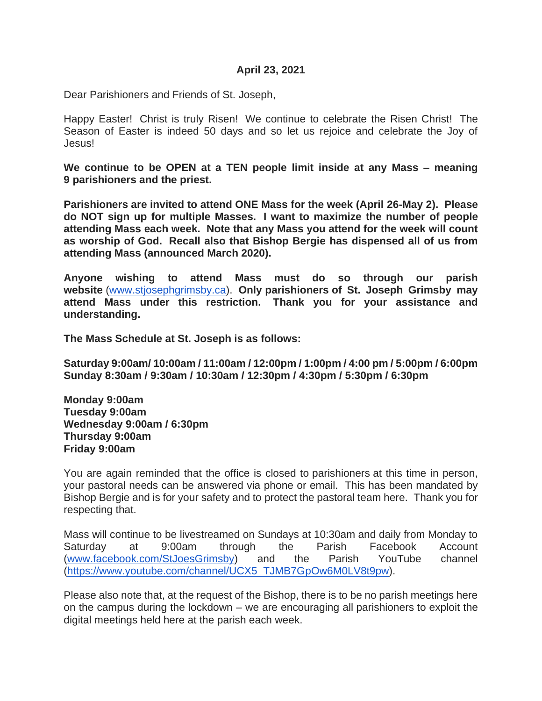#### **April 23, 2021**

Dear Parishioners and Friends of St. Joseph,

Happy Easter! Christ is truly Risen! We continue to celebrate the Risen Christ! The Season of Easter is indeed 50 days and so let us rejoice and celebrate the Joy of Jesus!

**We continue to be OPEN at a TEN people limit inside at any Mass – meaning 9 parishioners and the priest.** 

**Parishioners are invited to attend ONE Mass for the week (April 26-May 2). Please do NOT sign up for multiple Masses. I want to maximize the number of people attending Mass each week. Note that any Mass you attend for the week will count as worship of God. Recall also that Bishop Bergie has dispensed all of us from attending Mass (announced March 2020).** 

**Anyone wishing to attend Mass must do so through our parish website** [\(www.stjosephgrimsby.ca\)](http://www.stjosephgrimsby.ca/). **Only parishioners of St. Joseph Grimsby may attend Mass under this restriction. Thank you for your assistance and understanding.** 

**The Mass Schedule at St. Joseph is as follows:** 

**Saturday 9:00am/ 10:00am / 11:00am / 12:00pm / 1:00pm / 4:00 pm / 5:00pm / 6:00pm Sunday 8:30am / 9:30am / 10:30am / 12:30pm / 4:30pm / 5:30pm / 6:30pm**

**Monday 9:00am Tuesday 9:00am Wednesday 9:00am / 6:30pm Thursday 9:00am Friday 9:00am**

You are again reminded that the office is closed to parishioners at this time in person, your pastoral needs can be answered via phone or email. This has been mandated by Bishop Bergie and is for your safety and to protect the pastoral team here. Thank you for respecting that.

Mass will continue to be livestreamed on Sundays at 10:30am and daily from Monday to Saturday at 9:00am through the Parish Facebook Account [\(www.facebook.com/StJoesGrimsby\)](http://www.facebook.com/StJoesGrimsby) and the Parish YouTube channel [\(https://www.youtube.com/channel/UCX5\\_TJMB7GpOw6M0LV8t9pw\)](https://www.youtube.com/channel/UCX5_TJMB7GpOw6M0LV8t9pw).

Please also note that, at the request of the Bishop, there is to be no parish meetings here on the campus during the lockdown – we are encouraging all parishioners to exploit the digital meetings held here at the parish each week.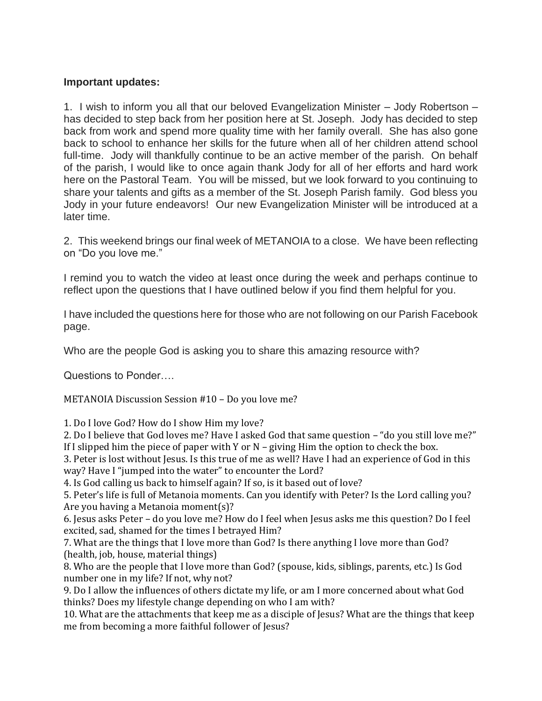#### **Important updates:**

1. I wish to inform you all that our beloved Evangelization Minister – Jody Robertson – has decided to step back from her position here at St. Joseph. Jody has decided to step back from work and spend more quality time with her family overall. She has also gone back to school to enhance her skills for the future when all of her children attend school full-time. Jody will thankfully continue to be an active member of the parish. On behalf of the parish, I would like to once again thank Jody for all of her efforts and hard work here on the Pastoral Team. You will be missed, but we look forward to you continuing to share your talents and gifts as a member of the St. Joseph Parish family. God bless you Jody in your future endeavors! Our new Evangelization Minister will be introduced at a later time.

2. This weekend brings our final week of METANOIA to a close. We have been reflecting on "Do you love me."

I remind you to watch the video at least once during the week and perhaps continue to reflect upon the questions that I have outlined below if you find them helpful for you.

I have included the questions here for those who are not following on our Parish Facebook page.

Who are the people God is asking you to share this amazing resource with?

Questions to Ponder….

METANOIA Discussion Session #10 – Do you love me?

1. Do I love God? How do I show Him my love?

2. Do I believe that God loves me? Have I asked God that same question – "do you still love me?" If I slipped him the piece of paper with Y or N – giving Him the option to check the box.

3. Peter is lost without Jesus. Is this true of me as well? Have I had an experience of God in this way? Have I "jumped into the water" to encounter the Lord?

4. Is God calling us back to himself again? If so, is it based out of love?

5. Peter's life is full of Metanoia moments. Can you identify with Peter? Is the Lord calling you? Are you having a Metanoia moment(s)?

6. Jesus asks Peter – do you love me? How do I feel when Jesus asks me this question? Do I feel excited, sad, shamed for the times I betrayed Him?

7. What are the things that I love more than God? Is there anything I love more than God? (health, job, house, material things)

8. Who are the people that I love more than God? (spouse, kids, siblings, parents, etc.) Is God number one in my life? If not, why not?

9. Do I allow the influences of others dictate my life, or am I more concerned about what God thinks? Does my lifestyle change depending on who I am with?

10. What are the attachments that keep me as a disciple of Jesus? What are the things that keep me from becoming a more faithful follower of Jesus?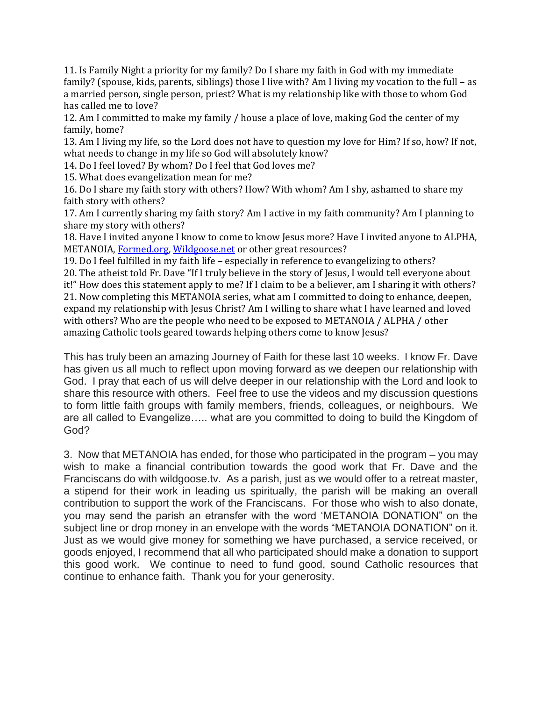11. Is Family Night a priority for my family? Do I share my faith in God with my immediate family? (spouse, kids, parents, siblings) those I live with? Am I living my vocation to the full – as a married person, single person, priest? What is my relationship like with those to whom God has called me to love?

12. Am I committed to make my family / house a place of love, making God the center of my family, home?

13. Am I living my life, so the Lord does not have to question my love for Him? If so, how? If not, what needs to change in my life so God will absolutely know?

14. Do I feel loved? By whom? Do I feel that God loves me?

15. What does evangelization mean for me?

16. Do I share my faith story with others? How? With whom? Am I shy, ashamed to share my faith story with others?

17. Am I currently sharing my faith story? Am I active in my faith community? Am I planning to share my story with others?

18. Have I invited anyone I know to come to know Jesus more? Have I invited anyone to ALPHA, METANOIA, [Formed.org,](http://formed.org/?fbclid=IwAR20JD7nWH1zIih10uOEVuG1s1kmFhaUbEVevrbcxI_kAGFGO2S0Jfqwgfs) [Wildgoose.net](https://l.facebook.com/l.php?u=http%3A%2F%2FWildgoose.net%2F%3Ffbclid%3DIwAR3o49CDBfcwgUjYL9stFmYoaS8WLDOxmys0Z5W77rTz47NdbzbB4Funp-k&h=AT3p6pvVOkDAIPj97qfbzs_WcpWhFHTxZzo5l5q3_mt_k7CLgGQoDSmgAdTaq8CJlYTZ6pVkWXgASwuuCTFv6eXFE3-pjrUYN4_uXEyi-JtQQYZfeBNCO_5JroU32VsKmQZ6&__tn__=-UK-R&c%5b0%5d=AT2y3rwgHaSD-BYIryKDTkWqPz7tgucHd8HIS-iLY_g_qMzy9YtMZxnKok69kRS2uwSIquekEeBFR_dvFXhMc-Jtn9bW2M6zp18EBysOugiKhpH9hdoYa9cRvsJudE0kuIuDLcphIiy67VP6-0UeddRn6bmRjRfC0iD0kQdsATKw6XtHOr4d05GGharwN8mM) or other great resources?

19. Do I feel fulfilled in my faith life – especially in reference to evangelizing to others?

20. The atheist told Fr. Dave "If I truly believe in the story of Jesus, I would tell everyone about

it!" How does this statement apply to me? If I claim to be a believer, am I sharing it with others? 21. Now completing this METANOIA series, what am I committed to doing to enhance, deepen, expand my relationship with Jesus Christ? Am I willing to share what I have learned and loved with others? Who are the people who need to be exposed to METANOIA / ALPHA / other amazing Catholic tools geared towards helping others come to know Jesus?

This has truly been an amazing Journey of Faith for these last 10 weeks. I know Fr. Dave has given us all much to reflect upon moving forward as we deepen our relationship with God. I pray that each of us will delve deeper in our relationship with the Lord and look to share this resource with others. Feel free to use the videos and my discussion questions to form little faith groups with family members, friends, colleagues, or neighbours. We are all called to Evangelize….. what are you committed to doing to build the Kingdom of God?

3. Now that METANOIA has ended, for those who participated in the program – you may wish to make a financial contribution towards the good work that Fr. Dave and the Franciscans do with wildgoose.tv. As a parish, just as we would offer to a retreat master, a stipend for their work in leading us spiritually, the parish will be making an overall contribution to support the work of the Franciscans. For those who wish to also donate, you may send the parish an etransfer with the word 'METANOIA DONATION" on the subject line or drop money in an envelope with the words "METANOIA DONATION" on it. Just as we would give money for something we have purchased, a service received, or goods enjoyed, I recommend that all who participated should make a donation to support this good work. We continue to need to fund good, sound Catholic resources that continue to enhance faith. Thank you for your generosity.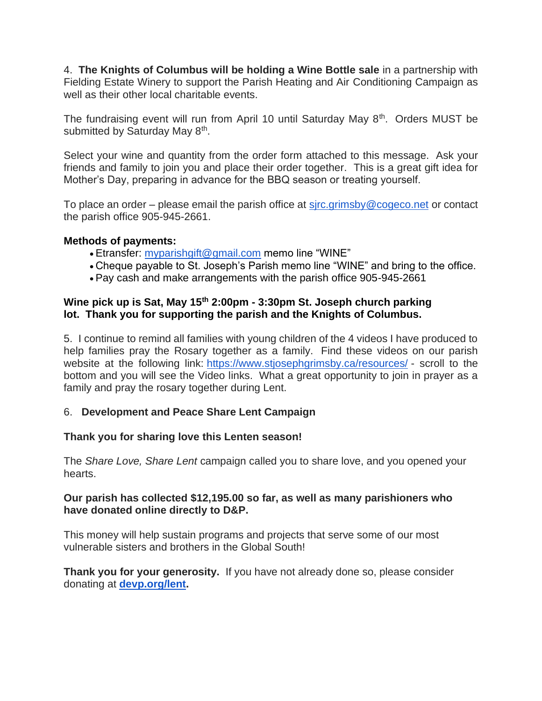4. **The Knights of Columbus will be holding a Wine Bottle sale** in a partnership with Fielding Estate Winery to support the Parish Heating and Air Conditioning Campaign as well as their other local charitable events.

The fundraising event will run from April 10 until Saturday May 8<sup>th</sup>. Orders MUST be submitted by Saturday May 8<sup>th</sup>.

Select your wine and quantity from the order form attached to this message. Ask your friends and family to join you and place their order together. This is a great gift idea for Mother's Day, preparing in advance for the BBQ season or treating yourself.

To place an order – please email the parish office at  $s$  *jrc.grimsby@cogeco.net or contact* the parish office 905-945-2661.

#### **Methods of payments:**

- Etransfer: [myparishgift@gmail.com](mailto:myparishgift@gmail.com) memo line "WINE"
- Cheque payable to St. Joseph's Parish memo line "WINE" and bring to the office.
- Pay cash and make arrangements with the parish office 905-945-2661

### **Wine pick up is Sat, May 15th 2:00pm - 3:30pm St. Joseph church parking lot. Thank you for supporting the parish and the Knights of Columbus.**

5. I continue to remind all families with young children of the 4 videos I have produced to help families pray the Rosary together as a family. Find these videos on our parish website at the following link: <https://www.stjosephgrimsby.ca/resources/> - scroll to the bottom and you will see the Video links. What a great opportunity to join in prayer as a family and pray the rosary together during Lent.

#### 6. **Development and Peace Share Lent Campaign**

## **Thank you for sharing love this Lenten season!**

The *Share Love, Share Lent* campaign called you to share love, and you opened your hearts.

#### **Our parish has collected \$12,195.00 so far, as well as many parishioners who have donated online directly to D&P.**

This money will help sustain programs and projects that serve some of our most vulnerable sisters and brothers in the Global South!

**Thank you for your generosity.** If you have not already done so, please consider donating at **[devp.org/lent.](https://devp.org/lent)**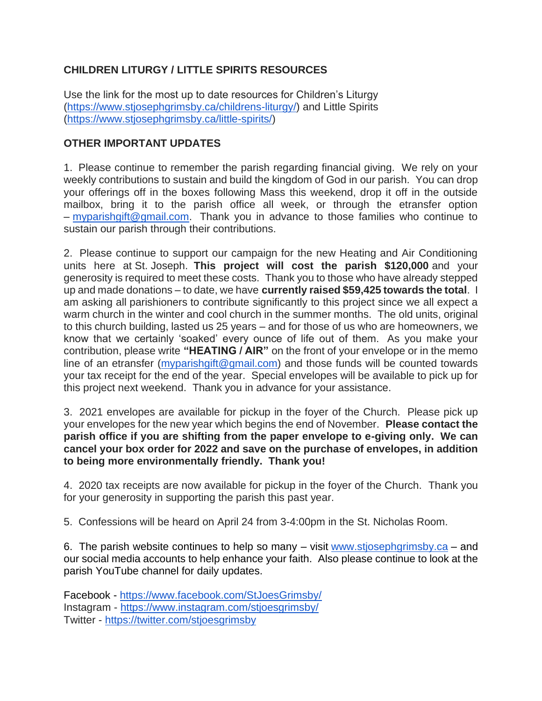# **CHILDREN LITURGY / LITTLE SPIRITS RESOURCES**

Use the link for the most up to date resources for Children's Liturgy [\(https://www.stjosephgrimsby.ca/childrens-liturgy/\)](https://www.stjosephgrimsby.ca/childrens-liturgy/) and Little Spirits [\(https://www.stjosephgrimsby.ca/little-spirits/\)](https://www.stjosephgrimsby.ca/little-spirits/)

## **OTHER IMPORTANT UPDATES**

1. Please continue to remember the parish regarding financial giving. We rely on your weekly contributions to sustain and build the kingdom of God in our parish. You can drop your offerings off in the boxes following Mass this weekend, drop it off in the outside mailbox, bring it to the parish office all week, or through the etransfer option – [myparishgift@gmail.com.](mailto:myparishgift@gmail.com) Thank you in advance to those families who continue to sustain our parish through their contributions.

2. Please continue to support our campaign for the new Heating and Air Conditioning units here at St. Joseph. **This project will cost the parish \$120,000** and your generosity is required to meet these costs. Thank you to those who have already stepped up and made donations – to date, we have **currently raised \$59,425 towards the total**. I am asking all parishioners to contribute significantly to this project since we all expect a warm church in the winter and cool church in the summer months. The old units, original to this church building, lasted us 25 years – and for those of us who are homeowners, we know that we certainly 'soaked' every ounce of life out of them. As you make your contribution, please write **"HEATING / AIR"** on the front of your envelope or in the memo line of an etransfer [\(myparishgift@gmail.com\)](mailto:myparishgift@gmail.com) and those funds will be counted towards your tax receipt for the end of the year. Special envelopes will be available to pick up for this project next weekend. Thank you in advance for your assistance.

3. 2021 envelopes are available for pickup in the foyer of the Church. Please pick up your envelopes for the new year which begins the end of November. **Please contact the parish office if you are shifting from the paper envelope to e-giving only. We can cancel your box order for 2022 and save on the purchase of envelopes, in addition to being more environmentally friendly. Thank you!**

4. 2020 tax receipts are now available for pickup in the foyer of the Church. Thank you for your generosity in supporting the parish this past year.

5. Confessions will be heard on April 24 from 3-4:00pm in the St. Nicholas Room.

6. The parish website continues to help so many  $-$  visit [www.stjosephgrimsby.ca](http://www.stjosephgrimsby.ca/)  $-$  and our social media accounts to help enhance your faith. Also please continue to look at the parish YouTube channel for daily updates.

Facebook - <https://www.facebook.com/StJoesGrimsby/> Instagram - <https://www.instagram.com/stjoesgrimsby/> Twitter - <https://twitter.com/stjoesgrimsby>